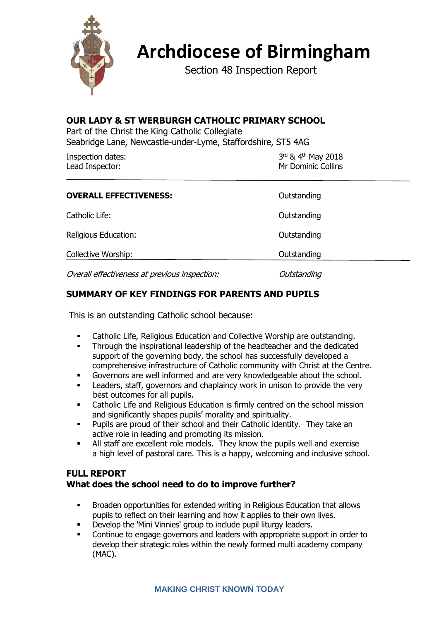

# **Archdiocese of Birmingham**

Section 48 Inspection Report

#### **OUR LADY & ST WERBURGH CATHOLIC PRIMARY SCHOOL**

Part of the Christ the King Catholic Collegiate Seabridge Lane, Newcastle-under-Lyme, Staffordshire, ST5 4AG

| Inspection dates: | $3^{\text{rd}}$ & 4 <sup>th</sup> May 2018 |
|-------------------|--------------------------------------------|
| Lead Inspector:   | Mr Dominic Collins                         |
|                   |                                            |

| <b>OVERALL EFFECTIVENESS:</b>                 | Outstanding |
|-----------------------------------------------|-------------|
| Catholic Life:                                | Outstanding |
| Religious Education:                          | Outstanding |
| Collective Worship:                           | Outstanding |
| Overall effectiveness at previous inspection: | Outstanding |

# **SUMMARY OF KEY FINDINGS FOR PARENTS AND PUPILS**

This is an outstanding Catholic school because:

- Catholic Life, Religious Education and Collective Worship are outstanding.
- **•** Through the inspirational leadership of the headteacher and the dedicated support of the governing body, the school has successfully developed a comprehensive infrastructure of Catholic community with Christ at the Centre.
- Governors are well informed and are very knowledgeable about the school.
- Leaders, staff, governors and chaplaincy work in unison to provide the very best outcomes for all pupils.
- Catholic Life and Religious Education is firmly centred on the school mission and significantly shapes pupils' morality and spirituality.
- Pupils are proud of their school and their Catholic identity. They take an active role in leading and promoting its mission.
- All staff are excellent role models. They know the pupils well and exercise a high level of pastoral care. This is a happy, welcoming and inclusive school.

### **FULL REPORT What does the school need to do to improve further?**

- Broaden opportunities for extended writing in Religious Education that allows pupils to reflect on their learning and how it applies to their own lives.
- Develop the 'Mini Vinnies' group to include pupil liturgy leaders.
- Continue to engage governors and leaders with appropriate support in order to develop their strategic roles within the newly formed multi academy company (MAC).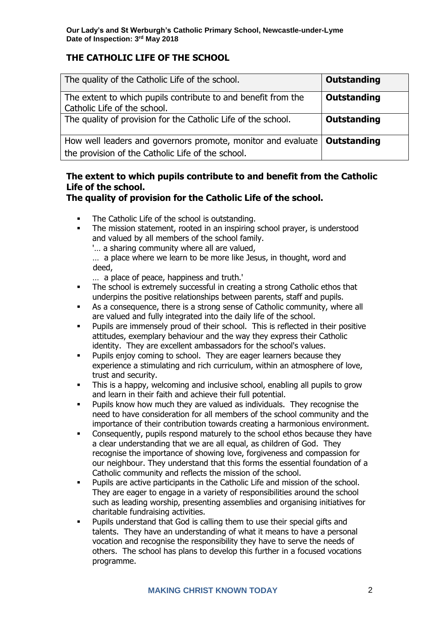# **THE CATHOLIC LIFE OF THE SCHOOL**

| The quality of the Catholic Life of the school.                                                                                 | <b>Outstanding</b> |
|---------------------------------------------------------------------------------------------------------------------------------|--------------------|
| The extent to which pupils contribute to and benefit from the<br>Catholic Life of the school.                                   | Outstanding        |
| The quality of provision for the Catholic Life of the school.                                                                   | Outstanding        |
| How well leaders and governors promote, monitor and evaluate   Outstanding<br>the provision of the Catholic Life of the school. |                    |

# **The extent to which pupils contribute to and benefit from the Catholic Life of the school.**

**The quality of provision for the Catholic Life of the school.**

- The Catholic Life of the school is outstanding.
- The mission statement, rooted in an inspiring school prayer, is understood and valued by all members of the school family.

'… a sharing community where all are valued,

… a place where we learn to be more like Jesus, in thought, word and deed,

- … a place of peace, happiness and truth.'
- The school is extremely successful in creating a strong Catholic ethos that underpins the positive relationships between parents, staff and pupils.
- As a consequence, there is a strong sense of Catholic community, where all are valued and fully integrated into the daily life of the school.
- Pupils are immensely proud of their school. This is reflected in their positive attitudes, exemplary behaviour and the way they express their Catholic identity. They are excellent ambassadors for the school's values.
- **•** Pupils enjoy coming to school. They are eager learners because they experience a stimulating and rich curriculum, within an atmosphere of love, trust and security.
- This is a happy, welcoming and inclusive school, enabling all pupils to grow and learn in their faith and achieve their full potential.
- Pupils know how much they are valued as individuals. They recognise the need to have consideration for all members of the school community and the importance of their contribution towards creating a harmonious environment.
- Consequently, pupils respond maturely to the school ethos because they have a clear understanding that we are all equal, as children of God. They recognise the importance of showing love, forgiveness and compassion for our neighbour. They understand that this forms the essential foundation of a Catholic community and reflects the mission of the school.
- Pupils are active participants in the Catholic Life and mission of the school. They are eager to engage in a variety of responsibilities around the school such as leading worship, presenting assemblies and organising initiatives for charitable fundraising activities.
- **•** Pupils understand that God is calling them to use their special gifts and talents. They have an understanding of what it means to have a personal vocation and recognise the responsibility they have to serve the needs of others. The school has plans to develop this further in a focused vocations programme.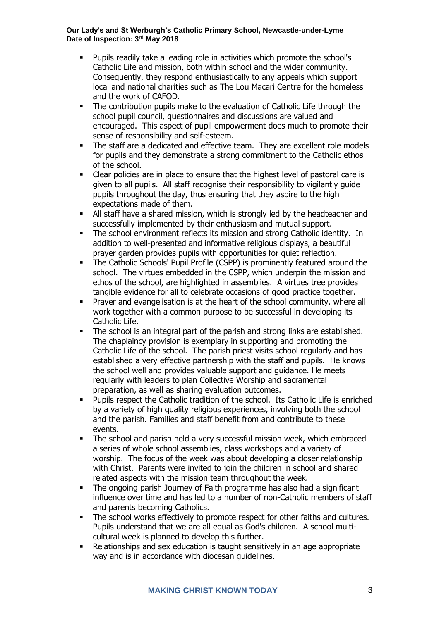- Pupils readily take a leading role in activities which promote the school's Catholic Life and mission, both within school and the wider community. Consequently, they respond enthusiastically to any appeals which support local and national charities such as The Lou Macari Centre for the homeless and the work of CAFOD.
- The contribution pupils make to the evaluation of Catholic Life through the school pupil council, questionnaires and discussions are valued and encouraged. This aspect of pupil empowerment does much to promote their sense of responsibility and self-esteem.
- **•** The staff are a dedicated and effective team. They are excellent role models for pupils and they demonstrate a strong commitment to the Catholic ethos of the school.
- Clear policies are in place to ensure that the highest level of pastoral care is given to all pupils. All staff recognise their responsibility to vigilantly guide pupils throughout the day, thus ensuring that they aspire to the high expectations made of them.
- All staff have a shared mission, which is strongly led by the headteacher and successfully implemented by their enthusiasm and mutual support.
- The school environment reflects its mission and strong Catholic identity. In addition to well-presented and informative religious displays, a beautiful prayer garden provides pupils with opportunities for quiet reflection.
- The Catholic Schools' Pupil Profile (CSPP) is prominently featured around the school. The virtues embedded in the CSPP, which underpin the mission and ethos of the school, are highlighted in assemblies. A virtues tree provides tangible evidence for all to celebrate occasions of good practice together.
- Prayer and evangelisation is at the heart of the school community, where all work together with a common purpose to be successful in developing its Catholic Life.
- The school is an integral part of the parish and strong links are established. The chaplaincy provision is exemplary in supporting and promoting the Catholic Life of the school. The parish priest visits school regularly and has established a very effective partnership with the staff and pupils. He knows the school well and provides valuable support and guidance. He meets regularly with leaders to plan Collective Worship and sacramental preparation, as well as sharing evaluation outcomes.
- Pupils respect the Catholic tradition of the school. Its Catholic Life is enriched by a variety of high quality religious experiences, involving both the school and the parish. Families and staff benefit from and contribute to these events.
- The school and parish held a very successful mission week, which embraced a series of whole school assemblies, class workshops and a variety of worship. The focus of the week was about developing a closer relationship with Christ. Parents were invited to join the children in school and shared related aspects with the mission team throughout the week.
- The ongoing parish Journey of Faith programme has also had a significant influence over time and has led to a number of non-Catholic members of staff and parents becoming Catholics.
- The school works effectively to promote respect for other faiths and cultures. Pupils understand that we are all equal as God's children. A school multicultural week is planned to develop this further.
- Relationships and sex education is taught sensitively in an age appropriate way and is in accordance with diocesan guidelines.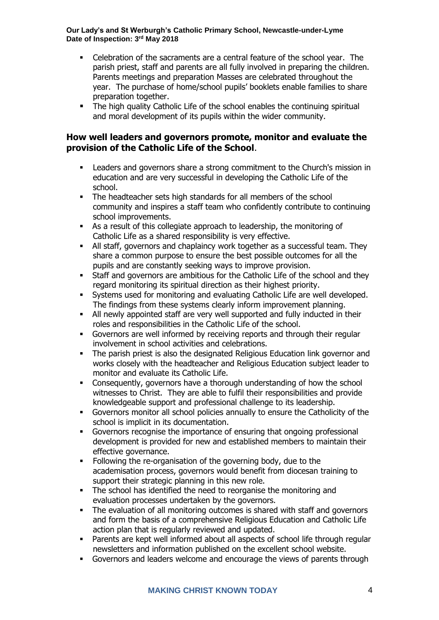- Celebration of the sacraments are a central feature of the school year. The parish priest, staff and parents are all fully involved in preparing the children. Parents meetings and preparation Masses are celebrated throughout the year. The purchase of home/school pupils' booklets enable families to share preparation together.
- The high quality Catholic Life of the school enables the continuing spiritual and moral development of its pupils within the wider community.

#### **How well leaders and governors promote, monitor and evaluate the provision of the Catholic Life of the School**.

- Leaders and governors share a strong commitment to the Church's mission in education and are very successful in developing the Catholic Life of the school.
- The headteacher sets high standards for all members of the school community and inspires a staff team who confidently contribute to continuing school improvements.
- As a result of this collegiate approach to leadership, the monitoring of Catholic Life as a shared responsibility is very effective.
- **E** All staff, governors and chaplaincy work together as a successful team. They share a common purpose to ensure the best possible outcomes for all the pupils and are constantly seeking ways to improve provision.
- Staff and governors are ambitious for the Catholic Life of the school and they regard monitoring its spiritual direction as their highest priority.
- Systems used for monitoring and evaluating Catholic Life are well developed. The findings from these systems clearly inform improvement planning.
- All newly appointed staff are very well supported and fully inducted in their roles and responsibilities in the Catholic Life of the school.
- Governors are well informed by receiving reports and through their regular involvement in school activities and celebrations.
- The parish priest is also the designated Religious Education link governor and works closely with the headteacher and Religious Education subject leader to monitor and evaluate its Catholic Life.
- Consequently, governors have a thorough understanding of how the school witnesses to Christ. They are able to fulfil their responsibilities and provide knowledgeable support and professional challenge to its leadership.
- Governors monitor all school policies annually to ensure the Catholicity of the school is implicit in its documentation.
- Governors recognise the importance of ensuring that ongoing professional development is provided for new and established members to maintain their effective governance.
- Following the re-organisation of the governing body, due to the academisation process, governors would benefit from diocesan training to support their strategic planning in this new role.
- The school has identified the need to reorganise the monitoring and evaluation processes undertaken by the governors.
- The evaluation of all monitoring outcomes is shared with staff and governors and form the basis of a comprehensive Religious Education and Catholic Life action plan that is regularly reviewed and updated.
- Parents are kept well informed about all aspects of school life through regular newsletters and information published on the excellent school website.
- Governors and leaders welcome and encourage the views of parents through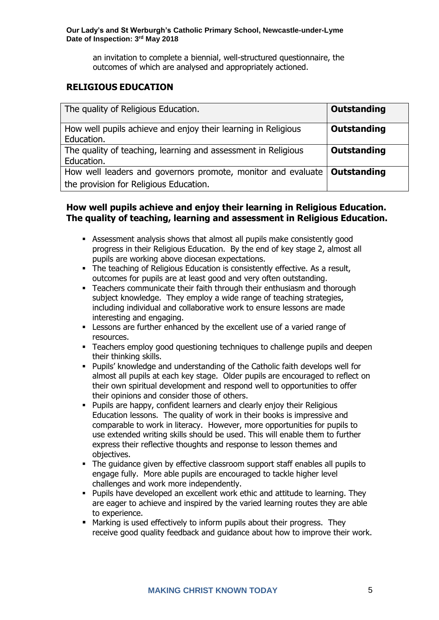an invitation to complete a biennial, well-structured questionnaire, the outcomes of which are analysed and appropriately actioned.

## **RELIGIOUS EDUCATION**

| The quality of Religious Education.                                                                                  | Outstanding        |
|----------------------------------------------------------------------------------------------------------------------|--------------------|
| How well pupils achieve and enjoy their learning in Religious<br>Education.                                          | Outstanding        |
| The quality of teaching, learning and assessment in Religious<br>Education.                                          | <b>Outstanding</b> |
| How well leaders and governors promote, monitor and evaluate   Outstanding<br>the provision for Religious Education. |                    |

#### **How well pupils achieve and enjoy their learning in Religious Education. The quality of teaching, learning and assessment in Religious Education.**

- Assessment analysis shows that almost all pupils make consistently good progress in their Religious Education. By the end of key stage 2, almost all pupils are working above diocesan expectations.
- **The teaching of Religious Education is consistently effective. As a result,** outcomes for pupils are at least good and very often outstanding.
- **•** Teachers communicate their faith through their enthusiasm and thorough subject knowledge. They employ a wide range of teaching strategies, including individual and collaborative work to ensure lessons are made interesting and engaging.
- **EXECTS** Lessons are further enhanced by the excellent use of a varied range of resources.
- **•** Teachers employ good questioning techniques to challenge pupils and deepen their thinking skills.
- Pupils' knowledge and understanding of the Catholic faith develops well for almost all pupils at each key stage. Older pupils are encouraged to reflect on their own spiritual development and respond well to opportunities to offer their opinions and consider those of others.
- Pupils are happy, confident learners and clearly enjoy their Religious Education lessons. The quality of work in their books is impressive and comparable to work in literacy. However, more opportunities for pupils to use extended writing skills should be used. This will enable them to further express their reflective thoughts and response to lesson themes and objectives.
- The quidance given by effective classroom support staff enables all pupils to engage fully. More able pupils are encouraged to tackle higher level challenges and work more independently.
- Pupils have developed an excellent work ethic and attitude to learning. They are eager to achieve and inspired by the varied learning routes they are able to experience.
- Marking is used effectively to inform pupils about their progress. They receive good quality feedback and guidance about how to improve their work.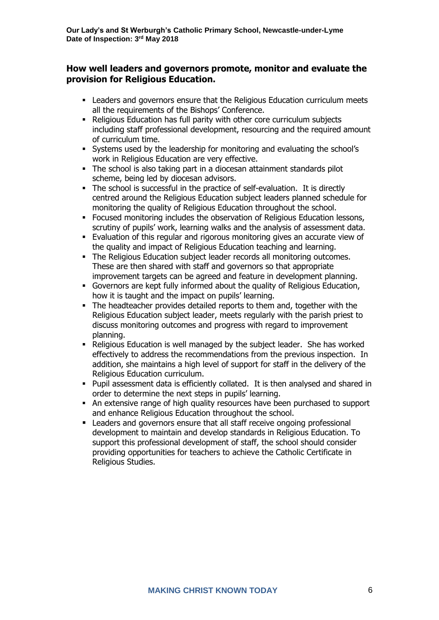#### **How well leaders and governors promote, monitor and evaluate the provision for Religious Education.**

- **Leaders and governors ensure that the Religious Education curriculum meets** all the requirements of the Bishops' Conference.
- Religious Education has full parity with other core curriculum subjects including staff professional development, resourcing and the required amount of curriculum time.
- Systems used by the leadership for monitoring and evaluating the school's work in Religious Education are very effective.
- The school is also taking part in a diocesan attainment standards pilot scheme, being led by diocesan advisors.
- The school is successful in the practice of self-evaluation. It is directly centred around the Religious Education subject leaders planned schedule for monitoring the quality of Religious Education throughout the school.
- **Focused monitoring includes the observation of Religious Education lessons,** scrutiny of pupils' work, learning walks and the analysis of assessment data.
- **Evaluation of this regular and rigorous monitoring gives an accurate view of** the quality and impact of Religious Education teaching and learning.
- **The Religious Education subject leader records all monitoring outcomes.** These are then shared with staff and governors so that appropriate improvement targets can be agreed and feature in development planning.
- Governors are kept fully informed about the quality of Religious Education, how it is taught and the impact on pupils' learning.
- The headteacher provides detailed reports to them and, together with the Religious Education subject leader, meets regularly with the parish priest to discuss monitoring outcomes and progress with regard to improvement planning.
- Religious Education is well managed by the subject leader. She has worked effectively to address the recommendations from the previous inspection. In addition, she maintains a high level of support for staff in the delivery of the Religious Education curriculum.
- Pupil assessment data is efficiently collated. It is then analysed and shared in order to determine the next steps in pupils' learning.
- **EXECT:** An extensive range of high quality resources have been purchased to support and enhance Religious Education throughout the school.
- Leaders and governors ensure that all staff receive ongoing professional development to maintain and develop standards in Religious Education. To support this professional development of staff, the school should consider providing opportunities for teachers to achieve the Catholic Certificate in Religious Studies.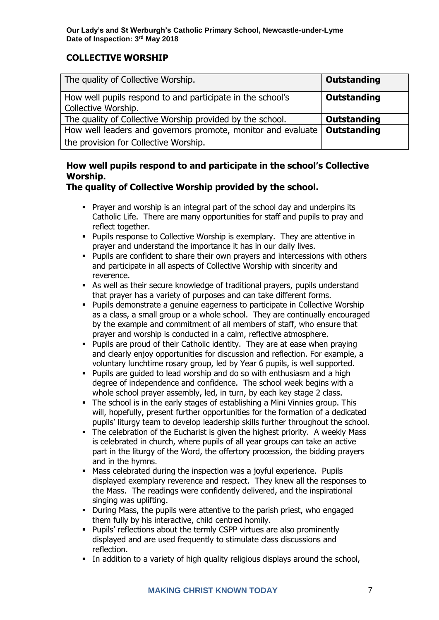# **COLLECTIVE WORSHIP**

| The quality of Collective Worship.                                                | Outstanding |
|-----------------------------------------------------------------------------------|-------------|
| How well pupils respond to and participate in the school's<br>Collective Worship. | Outstanding |
| The quality of Collective Worship provided by the school.                         | Outstanding |
| How well leaders and governors promote, monitor and evaluate                      | Outstanding |
| the provision for Collective Worship.                                             |             |

# **How well pupils respond to and participate in the school's Collective Worship.**

# **The quality of Collective Worship provided by the school.**

- Prayer and worship is an integral part of the school day and underpins its Catholic Life. There are many opportunities for staff and pupils to pray and reflect together.
- Pupils response to Collective Worship is exemplary. They are attentive in prayer and understand the importance it has in our daily lives.
- Pupils are confident to share their own prayers and intercessions with others and participate in all aspects of Collective Worship with sincerity and reverence.
- **EXEL As well as their secure knowledge of traditional prayers, pupils understand** that prayer has a variety of purposes and can take different forms.
- Pupils demonstrate a genuine eagerness to participate in Collective Worship as a class, a small group or a whole school. They are continually encouraged by the example and commitment of all members of staff, who ensure that prayer and worship is conducted in a calm, reflective atmosphere.
- **Pupils are proud of their Catholic identity. They are at ease when praying** and clearly enjoy opportunities for discussion and reflection. For example, a voluntary lunchtime rosary group, led by Year 6 pupils, is well supported.
- Pupils are guided to lead worship and do so with enthusiasm and a high degree of independence and confidence. The school week begins with a whole school prayer assembly, led, in turn, by each key stage 2 class.
- The school is in the early stages of establishing a Mini Vinnies group. This will, hopefully, present further opportunities for the formation of a dedicated pupils' liturgy team to develop leadership skills further throughout the school.
- **The celebration of the Eucharist is given the highest priority. A weekly Mass** is celebrated in church, where pupils of all year groups can take an active part in the liturgy of the Word, the offertory procession, the bidding prayers and in the hymns.
- **Mass celebrated during the inspection was a joyful experience. Pupils** displayed exemplary reverence and respect. They knew all the responses to the Mass. The readings were confidently delivered, and the inspirational singing was uplifting.
- During Mass, the pupils were attentive to the parish priest, who engaged them fully by his interactive, child centred homily.
- Pupils' reflections about the termly CSPP virtues are also prominently displayed and are used frequently to stimulate class discussions and reflection.
- **.** In addition to a variety of high quality religious displays around the school,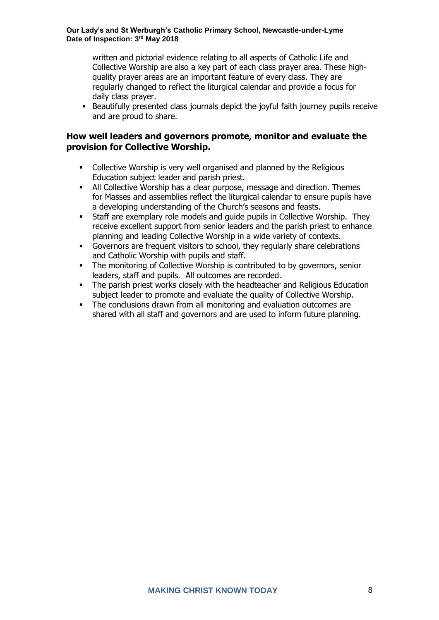written and pictorial evidence relating to all aspects of Catholic Life and Collective Worship are also a key part of each class prayer area. These highquality prayer areas are an important feature of every class. They are regularly changed to reflect the liturgical calendar and provide a focus for daily class prayer.

**EXECT** Beautifully presented class journals depict the joyful faith journey pupils receive and are proud to share.

#### **How well leaders and governors promote, monitor and evaluate the provision for Collective Worship.**

- Collective Worship is very well organised and planned by the Religious Education subject leader and parish priest.
- **EXECT** All Collective Worship has a clear purpose, message and direction. Themes for Masses and assemblies reflect the liturgical calendar to ensure pupils have a developing understanding of the Church's seasons and feasts.
- Staff are exemplary role models and guide pupils in Collective Worship. They receive excellent support from senior leaders and the parish priest to enhance planning and leading Collective Worship in a wide variety of contexts.
- Governors are frequent visitors to school, they regularly share celebrations and Catholic Worship with pupils and staff.
- **•** The monitoring of Collective Worship is contributed to by governors, senior leaders, staff and pupils. All outcomes are recorded.
- **•** The parish priest works closely with the headteacher and Religious Education subject leader to promote and evaluate the quality of Collective Worship.
- **•** The conclusions drawn from all monitoring and evaluation outcomes are shared with all staff and governors and are used to inform future planning.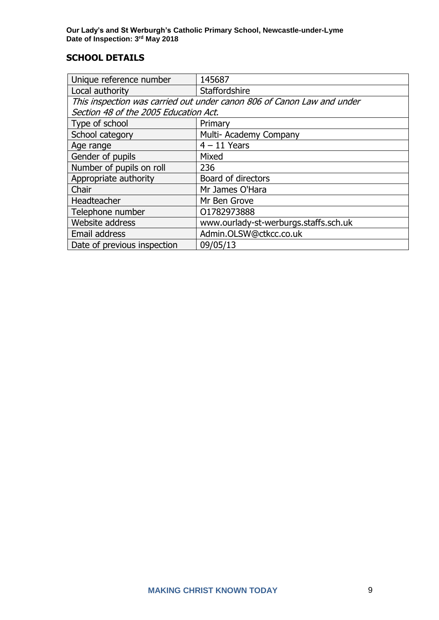# **SCHOOL DETAILS**

| Unique reference number                                                | 145687                                |  |
|------------------------------------------------------------------------|---------------------------------------|--|
| Local authority                                                        | Staffordshire                         |  |
| This inspection was carried out under canon 806 of Canon Law and under |                                       |  |
| Section 48 of the 2005 Education Act.                                  |                                       |  |
| Type of school                                                         | Primary                               |  |
| School category                                                        | Multi- Academy Company                |  |
| Age range                                                              | $4 - 11$ Years                        |  |
| Gender of pupils                                                       | Mixed                                 |  |
| Number of pupils on roll                                               | 236                                   |  |
| Appropriate authority                                                  | Board of directors                    |  |
| Chair                                                                  | Mr James O'Hara                       |  |
| Headteacher                                                            | Mr Ben Grove                          |  |
| Telephone number                                                       | 01782973888                           |  |
| Website address                                                        | www.ourlady-st-werburgs.staffs.sch.uk |  |
| Email address                                                          | Admin.OLSW@ctkcc.co.uk                |  |
| Date of previous inspection                                            | 09/05/13                              |  |